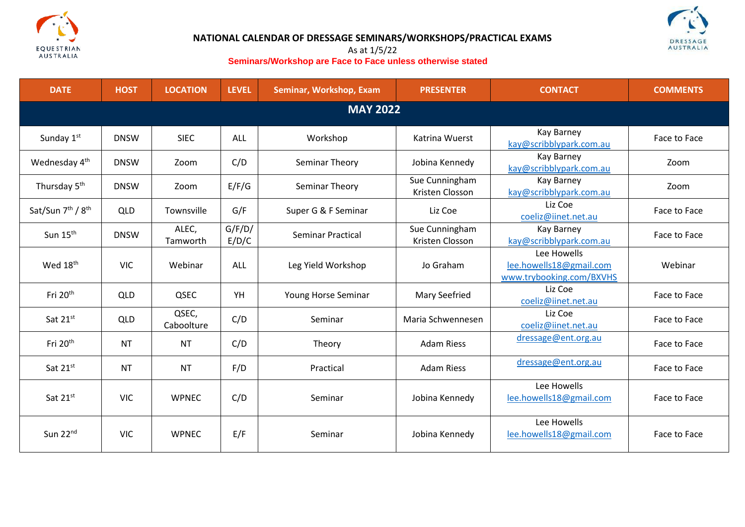



# **NATIONAL CALENDAR OF DRESSAGE SEMINARS/WORKSHOPS/PRACTICAL EXAMS**

## As at 1/5/22 **Seminars/Workshop are Face to Face unless otherwise stated**

| <b>DATE</b>                               | <b>HOST</b> | <b>LOCATION</b>     | <b>LEVEL</b>    | <b>Seminar, Workshop, Exam</b> | <b>PRESENTER</b>                  | <b>CONTACT</b>                                                     | <b>COMMENTS</b> |  |
|-------------------------------------------|-------------|---------------------|-----------------|--------------------------------|-----------------------------------|--------------------------------------------------------------------|-----------------|--|
| <b>MAY 2022</b>                           |             |                     |                 |                                |                                   |                                                                    |                 |  |
| Sunday 1st                                | <b>DNSW</b> | <b>SIEC</b>         | <b>ALL</b>      | Workshop                       | Katrina Wuerst                    | <b>Kay Barney</b><br>kay@scribblypark.com.au                       | Face to Face    |  |
| Wednesday 4 <sup>th</sup>                 | <b>DNSW</b> | Zoom                | C/D             | Seminar Theory                 | Jobina Kennedy                    | Kay Barney<br>kay@scribblypark.com.au                              | Zoom            |  |
| Thursday 5 <sup>th</sup>                  | <b>DNSW</b> | Zoom                | E/F/G           | Seminar Theory                 | Sue Cunningham<br>Kristen Closson | Kay Barney<br>kay@scribblypark.com.au                              | Zoom            |  |
| Sat/Sun 7 <sup>th</sup> / 8 <sup>th</sup> | <b>QLD</b>  | Townsville          | G/F             | Super G & F Seminar            | Liz Coe                           | Liz Coe<br>coeliz@iinet.net.au                                     | Face to Face    |  |
| Sun $15th$                                | <b>DNSW</b> | ALEC,<br>Tamworth   | G/F/D/<br>E/D/C | Seminar Practical              | Sue Cunningham<br>Kristen Closson | Kay Barney<br>kay@scribblypark.com.au                              | Face to Face    |  |
| Wed 18 <sup>th</sup>                      | <b>VIC</b>  | Webinar             | <b>ALL</b>      | Leg Yield Workshop             | Jo Graham                         | Lee Howells<br>lee.howells18@gmail.com<br>www.trybooking.com/BXVHS | Webinar         |  |
| Fri 20 <sup>th</sup>                      | <b>QLD</b>  | QSEC                | YH              | Young Horse Seminar            | <b>Mary Seefried</b>              | Liz Coe<br>coeliz@iinet.net.au                                     | Face to Face    |  |
| Sat 21st                                  | <b>QLD</b>  | QSEC,<br>Caboolture | C/D             | Seminar                        | Maria Schwennesen                 | Liz Coe<br>coeliz@iinet.net.au                                     | Face to Face    |  |
| Fri 20 <sup>th</sup>                      | <b>NT</b>   | <b>NT</b>           | C/D             | Theory                         | <b>Adam Riess</b>                 | dressage@ent.org.au                                                | Face to Face    |  |
| Sat 21st                                  | <b>NT</b>   | <b>NT</b>           | F/D             | Practical                      | <b>Adam Riess</b>                 | dressage@ent.org.au                                                | Face to Face    |  |
| Sat 21st                                  | <b>VIC</b>  | <b>WPNEC</b>        | C/D             | Seminar                        | Jobina Kennedy                    | Lee Howells<br>lee.howells18@gmail.com                             | Face to Face    |  |
| Sun 22nd                                  | <b>VIC</b>  | <b>WPNEC</b>        | E/F             | Seminar                        | Jobina Kennedy                    | Lee Howells<br>lee.howells18@gmail.com                             | Face to Face    |  |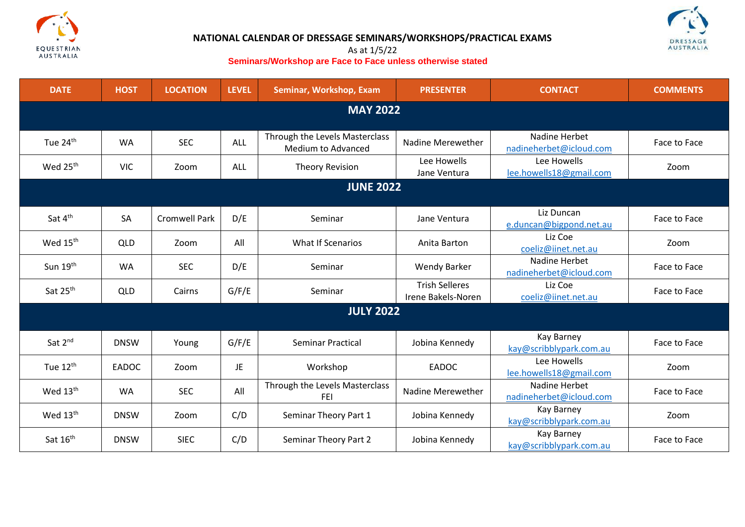

# **NATIONAL CALENDAR OF DRESSAGE SEMINARS/WORKSHOPS/PRACTICAL EXAMS**



## As at 1/5/22 **Seminars/Workshop are Face to Face unless otherwise stated**

| <b>DATE</b>          | <b>HOST</b>  | <b>LOCATION</b>      | <b>LEVEL</b> | Seminar, Workshop, Exam                              | <b>PRESENTER</b>                            | <b>CONTACT</b>                                            | <b>COMMENTS</b> |  |
|----------------------|--------------|----------------------|--------------|------------------------------------------------------|---------------------------------------------|-----------------------------------------------------------|-----------------|--|
| <b>MAY 2022</b>      |              |                      |              |                                                      |                                             |                                                           |                 |  |
| Tue 24 <sup>th</sup> | <b>WA</b>    | <b>SEC</b>           | ALL          | Through the Levels Masterclass<br>Medium to Advanced | Nadine Merewether                           | Nadine Herbet<br>nadineherbet@icloud.com                  | Face to Face    |  |
| Wed 25 <sup>th</sup> | <b>VIC</b>   | Zoom                 | ALL          | <b>Theory Revision</b>                               | Lee Howells<br>Jane Ventura                 | Lee Howells<br>lee.howells18@gmail.com                    | Zoom            |  |
| <b>JUNE 2022</b>     |              |                      |              |                                                      |                                             |                                                           |                 |  |
| Sat 4 <sup>th</sup>  | SA           | <b>Cromwell Park</b> | D/E          | Seminar                                              | Jane Ventura                                | Liz Duncan                                                | Face to Face    |  |
| Wed 15 <sup>th</sup> | <b>QLD</b>   | Zoom                 | All          | <b>What If Scenarios</b>                             | Anita Barton                                | e.duncan@bigpond.net.au<br>Liz Coe<br>coeliz@iinet.net.au | Zoom            |  |
| Sun 19th             | <b>WA</b>    | <b>SEC</b>           | D/E          | Seminar                                              | Wendy Barker                                | Nadine Herbet<br>nadineherbet@icloud.com                  | Face to Face    |  |
| Sat 25th             | <b>QLD</b>   | Cairns               | G/F/E        | Seminar                                              | <b>Trish Selleres</b><br>Irene Bakels-Noren | Liz Coe<br>coeliz@iinet.net.au                            | Face to Face    |  |
| <b>JULY 2022</b>     |              |                      |              |                                                      |                                             |                                                           |                 |  |
| Sat 2 <sup>nd</sup>  | <b>DNSW</b>  | Young                | G/F/E        | Seminar Practical                                    | Jobina Kennedy                              | <b>Kay Barney</b><br>kay@scribblypark.com.au              | Face to Face    |  |
| Tue $12^{\text{th}}$ | <b>EADOC</b> | Zoom                 | JE           | Workshop                                             | <b>EADOC</b>                                | Lee Howells<br>lee.howells18@gmail.com                    | Zoom            |  |
| Wed 13 <sup>th</sup> | <b>WA</b>    | <b>SEC</b>           | All          | Through the Levels Masterclass<br><b>FEI</b>         | Nadine Merewether                           | Nadine Herbet<br>nadineherbet@icloud.com                  | Face to Face    |  |
| Wed 13 <sup>th</sup> | <b>DNSW</b>  | Zoom                 | C/D          | Seminar Theory Part 1                                | Jobina Kennedy                              | Kay Barney<br>kay@scribblypark.com.au                     | Zoom            |  |
| Sat 16 <sup>th</sup> | <b>DNSW</b>  | <b>SIEC</b>          | C/D          | <b>Seminar Theory Part 2</b>                         | Jobina Kennedy                              | <b>Kay Barney</b><br>kay@scribblypark.com.au              | Face to Face    |  |